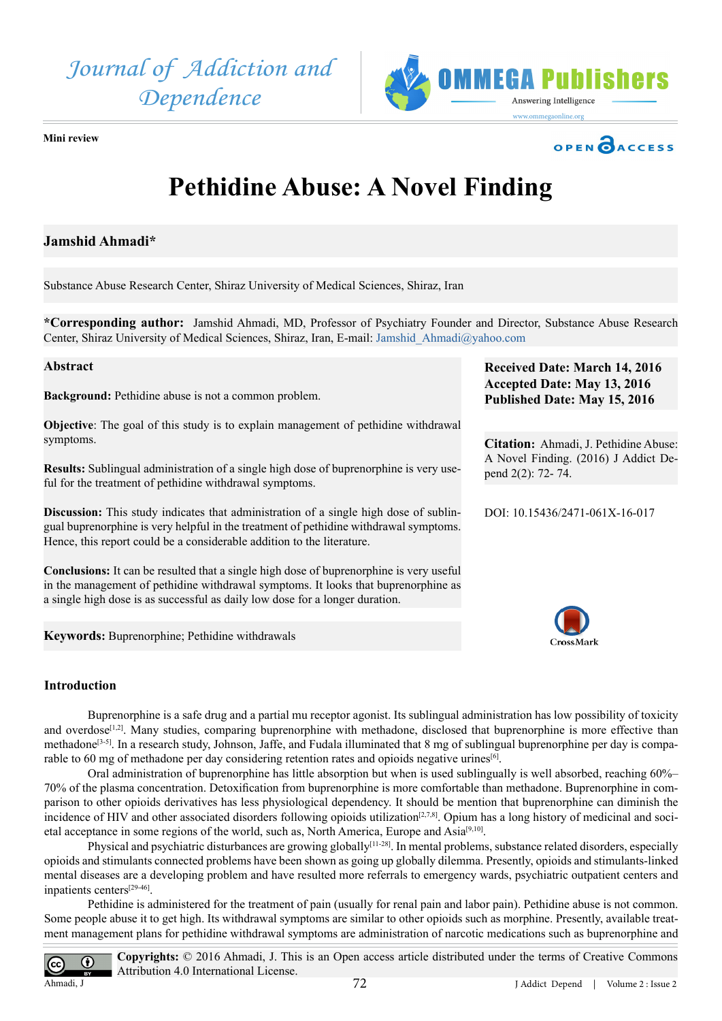



**Mini review** 



# **Pethidine Abuse: A Novel Finding**

# **Jamshid Ahmadi\***

Substance Abuse Research Center, Shiraz University of Medical Sciences, Shiraz, Iran

**\*Corresponding author:** Jamshid Ahmadi, MD, Professor of Psychiatry Founder and Director, Substance Abuse Research Center, Shiraz University of Medical Sciences, Shiraz, Iran, E-mail: [Jamshid\\_Ahmadi@yahoo.com](mailto:Jamshid_Ahmadi@yahoo.com)

# **Abstract**

**Background:** Pethidine abuse is not a common problem.

**Objective**: The goal of this study is to explain management of pethidine withdrawal symptoms.

**Results:** Sublingual administration of a single high dose of buprenorphine is very useful for the treatment of pethidine withdrawal symptoms.

**Discussion:** This study indicates that administration of a single high dose of sublingual buprenorphine is very helpful in the treatment of pethidine withdrawal symptoms. Hence, this report could be a considerable addition to the literature.

**Conclusions:** It can be resulted that a single high dose of buprenorphine is very useful in the management of pethidine withdrawal symptoms. It looks that buprenorphine as a single high dose is as successful as daily low dose for a longer duration.

**Keywords:** Buprenorphine; Pethidine withdrawals

# **Introduction**

Buprenorphine is a safe drug and a partial mu receptor agonist. Its sublingual administration has low possibility of toxicity and overdose<sup>[1,2]</sup>. Many studies, comparing buprenorphine with methadone, disclosed that buprenorphine is more effective than methadone<sup>[3-5]</sup>. In a research study, Johnson, Jaffe, and Fudala illuminated that 8 mg of sublingual buprenorphine per day is comparable to 60 mg of methadone per day considering retention rates and opioids negative urines[\[6\]](#page-1-2).

Oral administration of buprenorphine has little absorption but when is used sublingually is well absorbed, reaching 60%– 70% of the plasma concentration. Detoxification from buprenorphine is more comfortable than methadone. Buprenorphine in comparison to other opioids derivatives has less physiological dependency. It should be mention that buprenorphine can diminish the incidence of HIV and other associated disorders following opioids utilization<sup>[2,7,8]</sup>. Opium has a long history of medicinal and societal acceptance in some regions of the world, such as, North America, Europe and Asia<sup>[9,10]</sup>.

Physical and psychiatric disturbances are growing globally<sup>[11-28]</sup>. In mental problems, substance related disorders, especially opioids and stimulants connected problems have been shown as going up globally dilemma. Presently, opioids and stimulants-linked mental diseases are a developing problem and have resulted more referrals to emergency wards, psychiatric outpatient centers and inpatients center[s\[29-46\].](#page-2-0)

Pethidine is administered for the treatment of pain (usually for renal pain and labor pain). Pethidine abuse is not common. Some people abuse it to get high. Its withdrawal symptoms are similar to other opioids such as morphine. Presently, available treatment management plans for pethidine withdrawal symptoms are administration of narcotic medications such as buprenorphine and

Ahmadi, J

**Copyrights:** © 2016 Ahmadi, J. This is an Open access article distributed under the terms of Creative Commons Attribution 4.0 International License.

**Received Date: March 14, 2016 Accepted Date: May 13, 2016 Published Date: May 15, 2016**

**Citation:** Ahmadi, J. Pethidine Abuse: A Novel Finding. (2016) J Addict Depend 2(2): 72- 74.

DOI: [10.15436/2471-061X-16-017](http://www.dx.doi.org/10.15436/2471-061X-16-017)

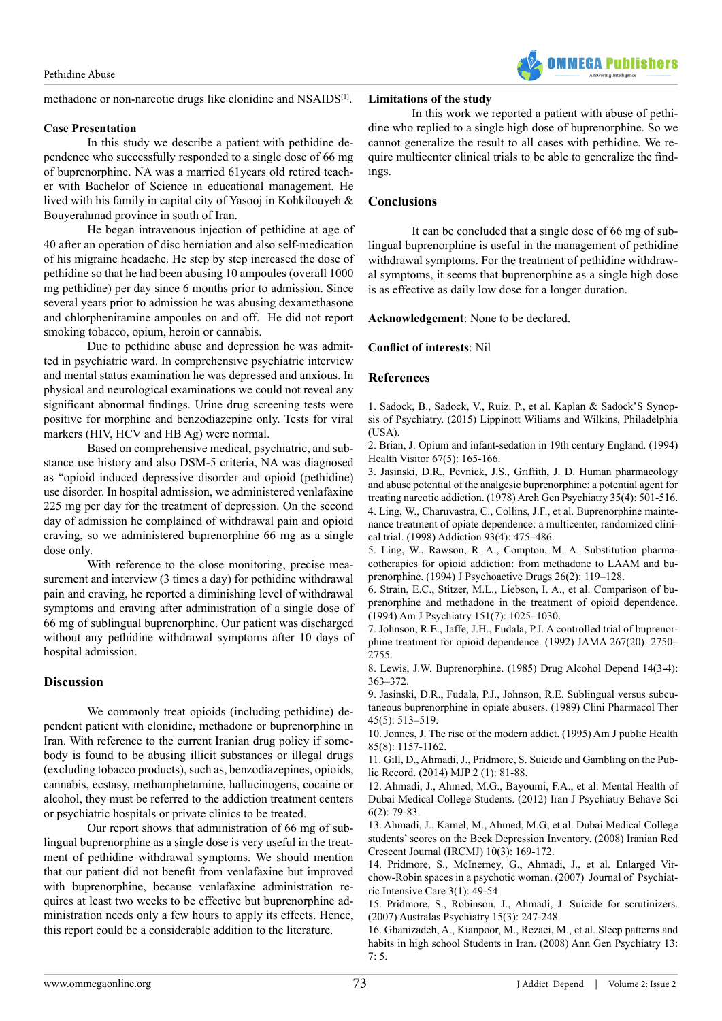methadone or non-narcotic drugs like clonidine and NSAIDS<sup>[1]</sup>.

#### **Case Presentation**

In this study we describe a patient with pethidine dependence who successfully responded to a single dose of 66 mg of buprenorphine. NA was a married 61years old retired teacher with Bachelor of Science in educational management. He lived with his family in capital city of Yasooj in Kohkilouyeh & Bouyerahmad province in south of Iran.

He began intravenous injection of pethidine at age of 40 after an operation of disc herniation and also self-medication of his migraine headache. He step by step increased the dose of pethidine so that he had been abusing 10 ampoules (overall 1000 mg pethidine) per day since 6 months prior to admission. Since several years prior to admission he was abusing dexamethasone and chlorpheniramine ampoules on and off. He did not report smoking tobacco, opium, heroin or cannabis.

Due to pethidine abuse and depression he was admitted in psychiatric ward. In comprehensive psychiatric interview and mental status examination he was depressed and anxious. In physical and neurological examinations we could not reveal any significant abnormal findings. Urine drug screening tests were positive for morphine and benzodiazepine only. Tests for viral markers (HIV, HCV and HB Ag) were normal.

Based on comprehensive medical, psychiatric, and substance use history and also DSM-5 criteria, NA was diagnosed as "opioid induced depressive disorder and opioid (pethidine) use disorder. In hospital admission, we administered venlafaxine 225 mg per day for the treatment of depression. On the second day of admission he complained of withdrawal pain and opioid craving, so we administered buprenorphine 66 mg as a single dose only.

With reference to the close monitoring, precise measurement and interview (3 times a day) for pethidine withdrawal pain and craving, he reported a diminishing level of withdrawal symptoms and craving after administration of a single dose of 66 mg of sublingual buprenorphine. Our patient was discharged without any pethidine withdrawal symptoms after 10 days of hospital admission.

# **Discussion**

We commonly treat opioids (including pethidine) dependent patient with clonidine, methadone or buprenorphine in Iran. With reference to the current Iranian drug policy if somebody is found to be abusing illicit substances or illegal drugs (excluding tobacco products), such as, benzodiazepines, opioids, cannabis, ecstasy, methamphetamine, hallucinogens, cocaine or alcohol, they must be referred to the addiction treatment centers or psychiatric hospitals or private clinics to be treated.

Our report shows that administration of 66 mg of sublingual buprenorphine as a single dose is very useful in the treatment of pethidine withdrawal symptoms. We should mention that our patient did not benefit from venlafaxine but improved with buprenorphine, because venlafaxine administration requires at least two weeks to be effective but buprenorphine administration needs only a few hours to apply its effects. Hence, this report could be a considerable addition to the literature.

### **Limitations of the study**

In this work we reported a patient with abuse of pethidine who replied to a single high dose of buprenorphine. So we cannot generalize the result to all cases with pethidine. We require multicenter clinical trials to be able to generalize the findings.

**MFGA Publicher** 

## **Conclusions**

It can be concluded that a single dose of 66 mg of sublingual buprenorphine is useful in the management of pethidine withdrawal symptoms. For the treatment of pethidine withdrawal symptoms, it seems that buprenorphine as a single high dose is as effective as daily low dose for a longer duration.

**Acknowledgement**: None to be declared.

### **Conflict of interests**: Nil

### **References**

<span id="page-1-0"></span>1. [Sadock, B., Sadock, V., Ruiz. P., et al. Kaplan & Sadock'S Synop](http://www.amazon.in/Kaplan-Sadocks-Synopsis-Psychiatry-Behavioral/dp/1609139712)[sis of Psychiatry. \(2015\) Lippinott Wiliams and Wilkins, Philadelphia](http://www.amazon.in/Kaplan-Sadocks-Synopsis-Psychiatry-Behavioral/dp/1609139712) [\(USA\).](http://www.amazon.in/Kaplan-Sadocks-Synopsis-Psychiatry-Behavioral/dp/1609139712)

<span id="page-1-3"></span>2. [Brian, J. Opium and infant-sedation in 19th century England. \(1994\)](http://www.ncbi.nlm.nih.gov/pubmed/8063580) [Health Visitor 67\(5\): 165-166.](http://www.ncbi.nlm.nih.gov/pubmed/8063580)

<span id="page-1-1"></span>3. [Jasinski, D.R., Pevnick, J.S., Griffith, J. D. Human pharmacology](http://www.ncbi.nlm.nih.gov/pubmed/215096) [and abuse potential of the analgesic buprenorphine: a potential agent for](http://www.ncbi.nlm.nih.gov/pubmed/215096) [treating narcotic addiction. \(1978\) Arch Gen Psychiatry 35\(4\): 501-516.](http://www.ncbi.nlm.nih.gov/pubmed/215096) 4. [Ling, W., Charuvastra, C., Collins, J.F., et al. Buprenorphine mainte](http://www.ncbi.nlm.nih.gov/pubmed/9684386)[nance treatment of opiate dependence: a multicenter, randomized clini](http://www.ncbi.nlm.nih.gov/pubmed/9684386)[cal trial. \(1998\) Addiction 93\(4\): 475–486](http://www.ncbi.nlm.nih.gov/pubmed/9684386).

5. [Ling, W., Rawson, R. A., Compton, M. A. Substitution pharma](http://www.ncbi.nlm.nih.gov/pubmed/7931856)[cotherapies for opioid addiction: from methadone to LAAM and bu](http://www.ncbi.nlm.nih.gov/pubmed/7931856)[prenorphine. \(1994\) J Psychoactive Drugs 26\(2\): 119–128.](http://www.ncbi.nlm.nih.gov/pubmed/7931856)

<span id="page-1-2"></span>6. [Strain, E.C., Stitzer, M.L., Liebson, I. A., et al. Comparison of bu](http://www.ncbi.nlm.nih.gov/pubmed/8010359)[prenorphine and methadone in the treatment of opioid dependence.](http://www.ncbi.nlm.nih.gov/pubmed/8010359) [\(1994\) Am J Psychiatry 151\(7\): 1025–1030.](http://www.ncbi.nlm.nih.gov/pubmed/8010359)

7. [Johnson, R.E., Jaffe, J.H., Fudala, P.J. A controlled trial of buprenor](http://www.ncbi.nlm.nih.gov/pubmed/1578593)[phine treatment for opioid dependence. \(1992\) JAMA 267\(20\): 2750–](http://www.ncbi.nlm.nih.gov/pubmed/1578593) [2755.](http://www.ncbi.nlm.nih.gov/pubmed/1578593)

8. [Lewis, J.W. Buprenorphine. \(1985\) Drug Alcohol Depend 14\(3-4\):](http://www.ncbi.nlm.nih.gov/pubmed/2986930) [363–372.](http://www.ncbi.nlm.nih.gov/pubmed/2986930)

<span id="page-1-4"></span>9. [Jasinski, D.R., Fudala, P.J., Johnson, R.E. Sublingual versus subcu](http://www.ncbi.nlm.nih.gov/pubmed/2721107)[taneous buprenorphine in opiate abusers. \(1989\) Clini Pharmacol Ther](http://www.ncbi.nlm.nih.gov/pubmed/2721107) [45\(5\): 513–519.](http://www.ncbi.nlm.nih.gov/pubmed/2721107)

10. [Jonnes, J. The rise of the modern addict. \(1995\) Am J public Health](http://www.ncbi.nlm.nih.gov/pubmed/7625519) [85\(8\): 1157-1162.](http://www.ncbi.nlm.nih.gov/pubmed/7625519)

<span id="page-1-5"></span>11. [Gill, D., Ahmadi, J., Pridmore, S. Suicide and Gambling on the Pub](http://www.mjpsychiatry.org/index.php/mjp/article/viewFile/291/205)[lic Record. \(2014\) MJP 2 \(1\): 81-88.](http://www.mjpsychiatry.org/index.php/mjp/article/viewFile/291/205)

12. [Ahmadi, J., Ahmed, M.G., Bayoumi, F.A., et al. Mental Health of](http://www.ncbi.nlm.nih.gov/pubmed/24644486) [Dubai Medical College Students. \(2012\) Iran J Psychiatry Behave Sci](http://www.ncbi.nlm.nih.gov/pubmed/24644486) [6\(2\): 79-83](http://www.ncbi.nlm.nih.gov/pubmed/24644486).

13. [Ahmadi, J., Kamel, M., Ahmed, M.G, et al. Dubai Medical College](http://ircmj.com/234.fulltext) [students' scores on the Beck Depression Inventory. \(2008\) Iranian Red](http://ircmj.com/234.fulltext) [Crescent Journal \(IRCMJ\) 10\(3\): 169-172.](http://ircmj.com/234.fulltext)

14. [Pridmore, S., McInerney, G., Ahmadi, J., et al. Enlarged Vir](http://journals.cambridge.org/action/displayAbstract?fromPage=online&aid=1326300)[chow-Robin spaces in a psychotic woman. \(2007\) Journal of Psychiat](http://journals.cambridge.org/action/displayAbstract?fromPage=online&aid=1326300)[ric Intensive Care 3\(1\): 49-54.](http://journals.cambridge.org/action/displayAbstract?fromPage=online&aid=1326300) 

15. [Pridmore, S., Robinson, J., Ahmadi, J. Suicide for scrutinizers.](http://www.ncbi.nlm.nih.gov/pubmed/17516192) [\(2007\) Australas Psychiatry 15\(3\): 247-248.](http://www.ncbi.nlm.nih.gov/pubmed/17516192) 

16. [Ghanizadeh, A., Kianpoor, M., Rezaei, M., et al. Sleep patterns and](http://www.ncbi.nlm.nih.gov/pubmed/18339201) [habits in high school Students in Iran. \(2008\) Ann Gen Psychiatry 13:](http://www.ncbi.nlm.nih.gov/pubmed/18339201) [7: 5.](http://www.ncbi.nlm.nih.gov/pubmed/18339201)